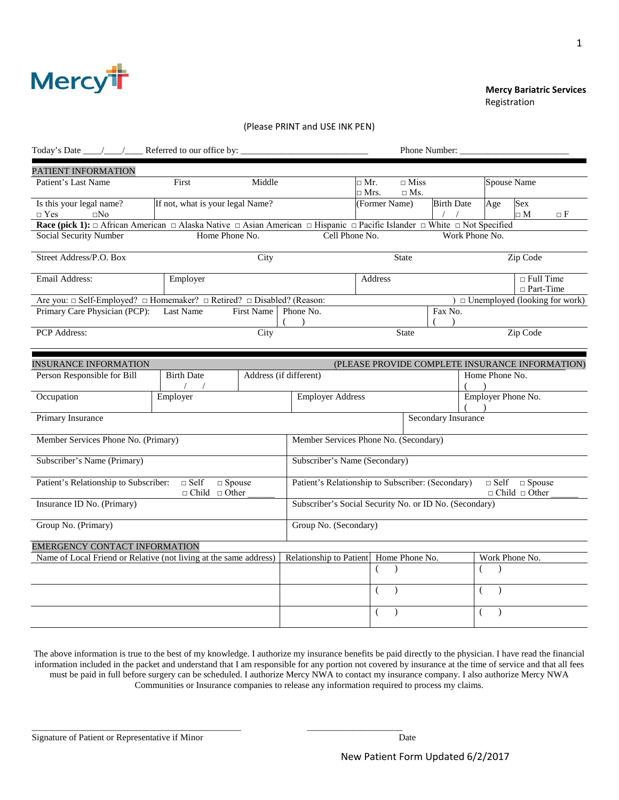

#### **Mercy Bariatric Services Proposition of the contract of the contract of the contract of the contract of the contract of the contract of the contract of the contract of the contract of the contract of the contract of the contract of the contract o**

#### (Please PRINT and USE INK PEN)

| Today's Date _____/____/______ Referred to our office by:                                                                                                   |                                                           |                        |                                                        |                      |                           | Phone Number:              |                               |                                                        |                                                 |
|-------------------------------------------------------------------------------------------------------------------------------------------------------------|-----------------------------------------------------------|------------------------|--------------------------------------------------------|----------------------|---------------------------|----------------------------|-------------------------------|--------------------------------------------------------|-------------------------------------------------|
| PATIENT INFORMATION                                                                                                                                         |                                                           |                        |                                                        |                      |                           |                            |                               |                                                        |                                                 |
| Patient's Last Name                                                                                                                                         | First                                                     | Middle                 |                                                        | □ Mr.<br>$\Box$ Mrs. | $\Box$ Miss<br>$\Box$ Ms. |                            |                               | Spouse Name                                            |                                                 |
| Is this your legal name?<br>$\Box$ Yes<br>$\square$ No                                                                                                      | If not, what is your legal Name?                          |                        |                                                        | (Former Name)        |                           | <b>Birth Date</b>          | Age                           | <b>Sex</b><br>$\square$ M                              | οF                                              |
| Race (pick 1): $\Box$ African American $\Box$ Alaska Native $\Box$ Asian American $\Box$ Hispanic $\Box$ Pacific Islander $\Box$ White $\Box$ Not Specified |                                                           |                        |                                                        |                      |                           |                            |                               |                                                        |                                                 |
| Social Security Number                                                                                                                                      | Home Phone No.                                            |                        | Cell Phone No.                                         |                      |                           |                            | Work Phone No.                |                                                        |                                                 |
| Street Address/P.O. Box                                                                                                                                     |                                                           | City                   |                                                        |                      | <b>State</b>              |                            |                               | Zip Code                                               |                                                 |
| Email Address:                                                                                                                                              | Employer                                                  |                        |                                                        | Address              |                           |                            |                               | $\Box$ Full Time<br>$\Box$ Part-Time                   |                                                 |
| Are you: □ Self-Employed? □ Homemaker? □ Retired? □ Disabled? (Reason:                                                                                      |                                                           |                        |                                                        |                      |                           |                            |                               |                                                        | $\Box$ Unemployed (looking for work)            |
| Primary Care Physician (PCP):                                                                                                                               | Last Name                                                 | <b>First Name</b>      | Phone No.<br>$\lambda$                                 |                      |                           | Fax No.<br>$\lambda$       |                               |                                                        |                                                 |
| PCP Address:                                                                                                                                                |                                                           | City                   |                                                        |                      | <b>State</b>              |                            |                               | Zip Code                                               |                                                 |
|                                                                                                                                                             |                                                           |                        |                                                        |                      |                           |                            |                               |                                                        |                                                 |
| <b>INSURANCE INFORMATION</b>                                                                                                                                |                                                           |                        |                                                        |                      |                           |                            |                               |                                                        | (PLEASE PROVIDE COMPLETE INSURANCE INFORMATION) |
| Person Responsible for Bill                                                                                                                                 | <b>Birth Date</b>                                         | Address (if different) |                                                        |                      |                           |                            | Home Phone No.                |                                                        |                                                 |
| Occupation                                                                                                                                                  | Employer                                                  |                        | <b>Employer Address</b>                                |                      |                           |                            | Employer Phone No.            |                                                        |                                                 |
| Primary Insurance                                                                                                                                           |                                                           |                        |                                                        |                      |                           | <b>Secondary Insurance</b> |                               |                                                        |                                                 |
| Member Services Phone No. (Primary)                                                                                                                         |                                                           |                        | Member Services Phone No. (Secondary)                  |                      |                           |                            |                               |                                                        |                                                 |
| Subscriber's Name (Primary)                                                                                                                                 |                                                           |                        | Subscriber's Name (Secondary)                          |                      |                           |                            |                               |                                                        |                                                 |
| Patient's Relationship to Subscriber:                                                                                                                       | $\Box$ Self<br>$\Box$ Spouse<br>$\Box$ Child $\Box$ Other |                        | Patient's Relationship to Subscriber: (Secondary)      |                      |                           |                            |                               | $\Box$ Self $\Box$ Spouse<br>$\Box$ Child $\Box$ Other |                                                 |
| Insurance ID No. (Primary)                                                                                                                                  |                                                           |                        | Subscriber's Social Security No. or ID No. (Secondary) |                      |                           |                            |                               |                                                        |                                                 |
| Group No. (Primary)                                                                                                                                         |                                                           |                        | Group No. (Secondary)                                  |                      |                           |                            |                               |                                                        |                                                 |
| EMERGENCY CONTACT INFORMATION                                                                                                                               |                                                           |                        |                                                        |                      |                           |                            |                               |                                                        |                                                 |
| Name of Local Friend or Relative (not living at the same address)                                                                                           |                                                           |                        | Relationship to Patient                                |                      | Home Phone No.            |                            |                               | Work Phone No.                                         |                                                 |
|                                                                                                                                                             |                                                           |                        |                                                        | $\left($             | $\lambda$                 |                            | $\overline{(\ }$<br>$\lambda$ |                                                        |                                                 |
|                                                                                                                                                             |                                                           |                        |                                                        | (                    | $\lambda$                 |                            | $\overline{(\ }$<br>$\lambda$ |                                                        |                                                 |
|                                                                                                                                                             |                                                           |                        |                                                        | (                    | $\lambda$                 |                            | (<br>$\lambda$                |                                                        |                                                 |
|                                                                                                                                                             |                                                           |                        |                                                        |                      |                           |                            |                               |                                                        |                                                 |

The above information is true to the best of my knowledge. I authorize my insurance benefits be paid directly to the physician. I have read the financial information included in the packet and understand that I am responsible for any portion not covered by insurance at the time of service and that all fees must be paid in full before surgery can be scheduled. I authorize Mercy NWA to contact my insurance company. I also authorize Mercy NWA Communities or Insurance companies to release any information required to process my claims.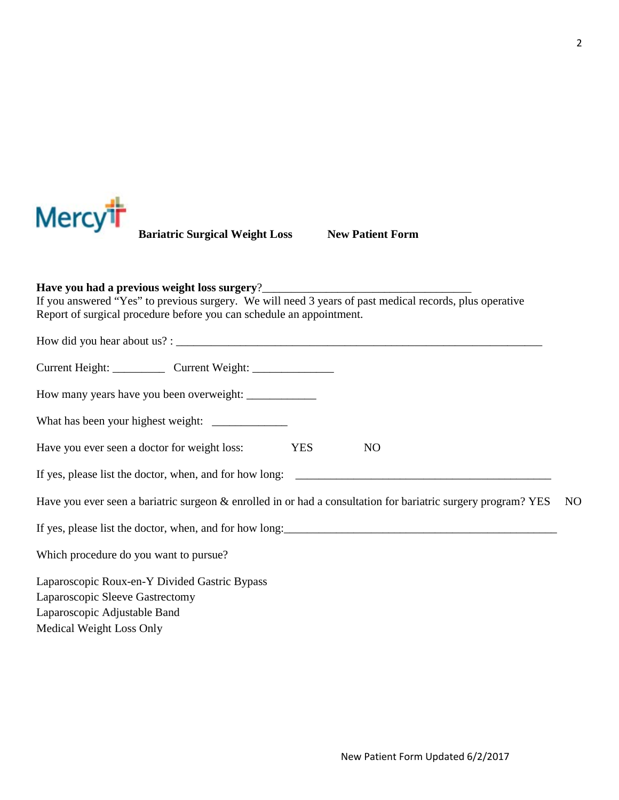

**Bariatric Surgical Weight Loss New Patient Form** 

**Have you had a previous weight loss surgery**?\_\_\_\_\_\_\_\_\_\_\_\_\_\_\_\_\_\_\_\_\_\_\_\_\_\_\_\_\_\_\_\_\_\_\_\_ If you answered "Yes" to previous surgery. We will need 3 years of past medical records, plus operative Report of surgical procedure before you can schedule an appointment.

| Current Height: _______________ Current Weight: _________________________________                             |            |                |                |
|---------------------------------------------------------------------------------------------------------------|------------|----------------|----------------|
|                                                                                                               |            |                |                |
|                                                                                                               |            |                |                |
| Have you ever seen a doctor for weight loss:                                                                  | <b>YES</b> | N <sub>O</sub> |                |
| If yes, please list the doctor, when, and for how long:                                                       |            |                |                |
| Have you ever seen a bariatric surgeon & enrolled in or had a consultation for bariatric surgery program? YES |            |                | N <sub>O</sub> |
| If yes, please list the doctor, when, and for how long:                                                       |            |                |                |
| Which procedure do you want to pursue?                                                                        |            |                |                |
| Laparoscopic Roux-en-Y Divided Gastric Bypass                                                                 |            |                |                |
| Laparoscopic Sleeve Gastrectomy                                                                               |            |                |                |
| Laparoscopic Adjustable Band                                                                                  |            |                |                |
| Medical Weight Loss Only                                                                                      |            |                |                |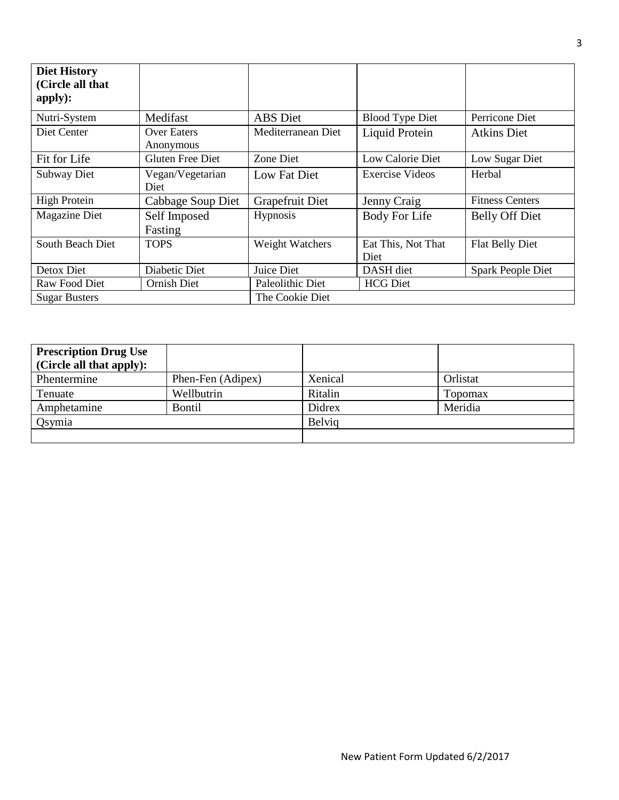| <b>Diet History</b><br>(Circle all that<br>apply): |                                 |                    |                            |                        |
|----------------------------------------------------|---------------------------------|--------------------|----------------------------|------------------------|
| Nutri-System                                       | Medifast                        | ABS Diet           | <b>Blood Type Diet</b>     | Perricone Diet         |
| Diet Center                                        | <b>Over Eaters</b><br>Anonymous | Mediterranean Diet | Liquid Protein             | Atkins Diet            |
| Fit for Life                                       | <b>Gluten Free Diet</b>         | Zone Diet          | Low Calorie Diet           | Low Sugar Diet         |
| Subway Diet                                        | Vegan/Vegetarian<br>Diet        | Low Fat Diet       | Exercise Videos            | Herbal                 |
| <b>High Protein</b>                                | Cabbage Soup Diet               | Grapefruit Diet    | Jenny Craig                | <b>Fitness Centers</b> |
| <b>Magazine Diet</b>                               | Self Imposed<br>Fasting         | <b>Hypnosis</b>    | Body For Life              | <b>Belly Off Diet</b>  |
| South Beach Diet                                   | <b>TOPS</b>                     | Weight Watchers    | Eat This, Not That<br>Diet | Flat Belly Diet        |
| Detox Diet                                         | Diabetic Diet                   | Juice Diet         | DASH diet                  | Spark People Diet      |
| Raw Food Diet                                      | Ornish Diet                     | Paleolithic Diet   | <b>HCG</b> Diet            |                        |
| <b>Sugar Busters</b>                               |                                 | The Cookie Diet    |                            |                        |

| <b>Prescription Drug Use</b><br>(Circle all that apply): |                   |         |          |
|----------------------------------------------------------|-------------------|---------|----------|
| Phentermine                                              | Phen-Fen (Adipex) | Xenical | Orlistat |
| Tenuate                                                  | Wellbutrin        | Ritalin | Topomax  |
| Amphetamine                                              | <b>Bontil</b>     | Didrex  | Meridia  |
| Qsymia                                                   |                   | Belvig  |          |
|                                                          |                   |         |          |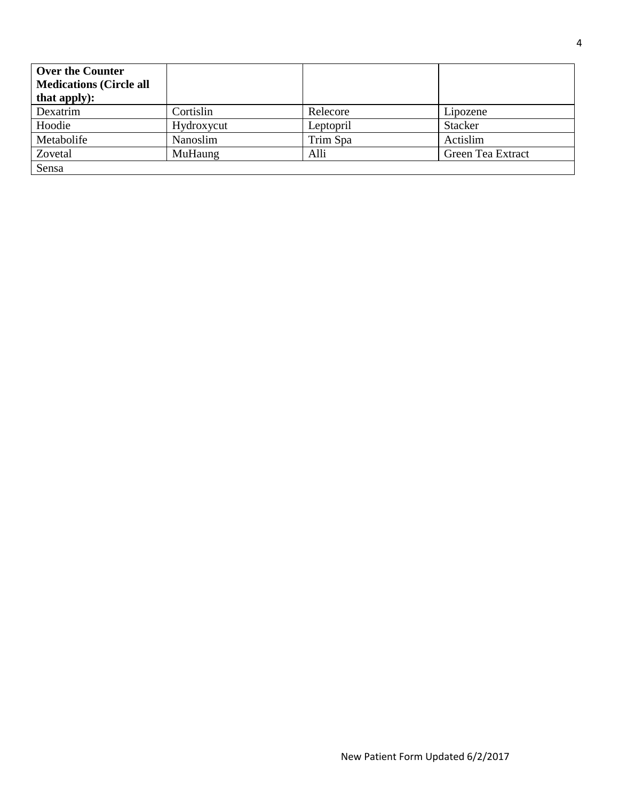| <b>Over the Counter</b>        |            |           |                   |
|--------------------------------|------------|-----------|-------------------|
| <b>Medications (Circle all</b> |            |           |                   |
| that apply):                   |            |           |                   |
| Dexatrim                       | Cortislin  | Relecore  | Lipozene          |
| Hoodie                         | Hydroxycut | Leptopril | <b>Stacker</b>    |
| Metabolife                     | Nanoslim   | Trim Spa  | Actislim          |
| Zovetal                        | MuHaung    | Alli      | Green Tea Extract |
| Sensa                          |            |           |                   |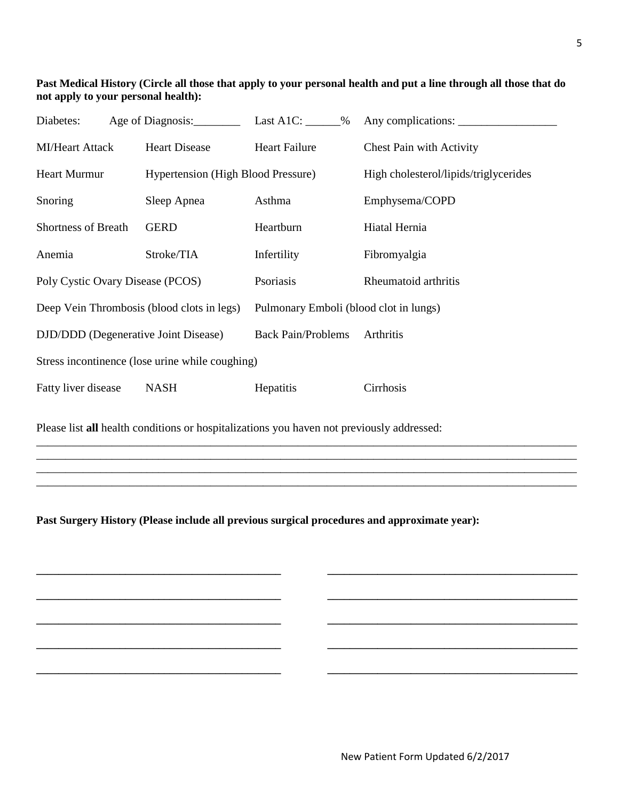#### **Past Medical History (Circle all those that apply to your personal health and put a line through all those that do not apply to your personal health):**

| Diabetes:                                       | Age of Diagnosis:                          | Last A1C: $\_\_\_\_\_$                 | Any complications:                    |  |
|-------------------------------------------------|--------------------------------------------|----------------------------------------|---------------------------------------|--|
| <b>MI/Heart Attack</b>                          | <b>Heart Disease</b>                       | <b>Heart Failure</b>                   | <b>Chest Pain with Activity</b>       |  |
| <b>Heart Murmur</b>                             | <b>Hypertension</b> (High Blood Pressure)  |                                        | High cholesterol/lipids/triglycerides |  |
| Snoring                                         | Sleep Apnea                                | Asthma                                 | Emphysema/COPD                        |  |
| <b>Shortness of Breath</b>                      | <b>GERD</b>                                | Heartburn                              | Hiatal Hernia                         |  |
| Anemia                                          | Stroke/TIA                                 | Infertility                            | Fibromyalgia                          |  |
| Poly Cystic Ovary Disease (PCOS)                |                                            | Psoriasis                              | Rheumatoid arthritis                  |  |
|                                                 | Deep Vein Thrombosis (blood clots in legs) | Pulmonary Emboli (blood clot in lungs) |                                       |  |
|                                                 | DJD/DDD (Degenerative Joint Disease)       | <b>Back Pain/Problems</b>              | Arthritis                             |  |
| Stress incontinence (lose urine while coughing) |                                            |                                        |                                       |  |
| Fatty liver disease                             | <b>NASH</b>                                | Hepatitis                              | Cirrhosis                             |  |

\_\_\_\_\_\_\_\_\_\_\_\_\_\_\_\_\_\_\_\_\_\_\_\_\_\_\_\_\_\_\_\_\_\_\_\_\_\_\_\_\_\_\_\_\_\_\_\_\_\_\_\_\_\_\_\_\_\_\_\_\_\_\_\_\_\_\_\_\_\_\_\_\_\_\_\_\_\_\_\_\_\_\_\_\_\_\_\_\_\_\_\_\_ \_\_\_\_\_\_\_\_\_\_\_\_\_\_\_\_\_\_\_\_\_\_\_\_\_\_\_\_\_\_\_\_\_\_\_\_\_\_\_\_\_\_\_\_\_\_\_\_\_\_\_\_\_\_\_\_\_\_\_\_\_\_\_\_\_\_\_\_\_\_\_\_\_\_\_\_\_\_\_\_\_\_\_\_\_\_\_\_\_\_\_\_\_ \_\_\_\_\_\_\_\_\_\_\_\_\_\_\_\_\_\_\_\_\_\_\_\_\_\_\_\_\_\_\_\_\_\_\_\_\_\_\_\_\_\_\_\_\_\_\_\_\_\_\_\_\_\_\_\_\_\_\_\_\_\_\_\_\_\_\_\_\_\_\_\_\_\_\_\_\_\_\_\_\_\_\_\_\_\_\_\_\_\_\_\_\_ \_\_\_\_\_\_\_\_\_\_\_\_\_\_\_\_\_\_\_\_\_\_\_\_\_\_\_\_\_\_\_\_\_\_\_\_\_\_\_\_\_\_\_\_\_\_\_\_\_\_\_\_\_\_\_\_\_\_\_\_\_\_\_\_\_\_\_\_\_\_\_\_\_\_\_\_\_\_\_\_\_\_\_\_\_\_\_\_\_\_\_\_\_

**\_\_\_\_\_\_\_\_\_\_\_\_\_\_\_\_\_\_\_\_\_\_\_\_\_\_\_\_\_\_\_\_\_\_\_\_\_\_\_\_\_\_\_\_ \_\_\_\_\_\_\_\_\_\_\_\_\_\_\_\_\_\_\_\_\_\_\_\_\_\_\_\_\_\_\_\_\_\_\_\_\_\_\_\_\_\_\_\_\_**

**\_\_\_\_\_\_\_\_\_\_\_\_\_\_\_\_\_\_\_\_\_\_\_\_\_\_\_\_\_\_\_\_\_\_\_\_\_\_\_\_\_\_\_\_ \_\_\_\_\_\_\_\_\_\_\_\_\_\_\_\_\_\_\_\_\_\_\_\_\_\_\_\_\_\_\_\_\_\_\_\_\_\_\_\_\_\_\_\_\_**

**\_\_\_\_\_\_\_\_\_\_\_\_\_\_\_\_\_\_\_\_\_\_\_\_\_\_\_\_\_\_\_\_\_\_\_\_\_\_\_\_\_\_\_\_ \_\_\_\_\_\_\_\_\_\_\_\_\_\_\_\_\_\_\_\_\_\_\_\_\_\_\_\_\_\_\_\_\_\_\_\_\_\_\_\_\_\_\_\_\_**

**\_\_\_\_\_\_\_\_\_\_\_\_\_\_\_\_\_\_\_\_\_\_\_\_\_\_\_\_\_\_\_\_\_\_\_\_\_\_\_\_\_\_\_\_ \_\_\_\_\_\_\_\_\_\_\_\_\_\_\_\_\_\_\_\_\_\_\_\_\_\_\_\_\_\_\_\_\_\_\_\_\_\_\_\_\_\_\_\_\_**

**\_\_\_\_\_\_\_\_\_\_\_\_\_\_\_\_\_\_\_\_\_\_\_\_\_\_\_\_\_\_\_\_\_\_\_\_\_\_\_\_\_\_\_\_ \_\_\_\_\_\_\_\_\_\_\_\_\_\_\_\_\_\_\_\_\_\_\_\_\_\_\_\_\_\_\_\_\_\_\_\_\_\_\_\_\_\_\_\_\_**

Please list **all** health conditions or hospitalizations you haven not previously addressed:

**Past Surgery History (Please include all previous surgical procedures and approximate year):**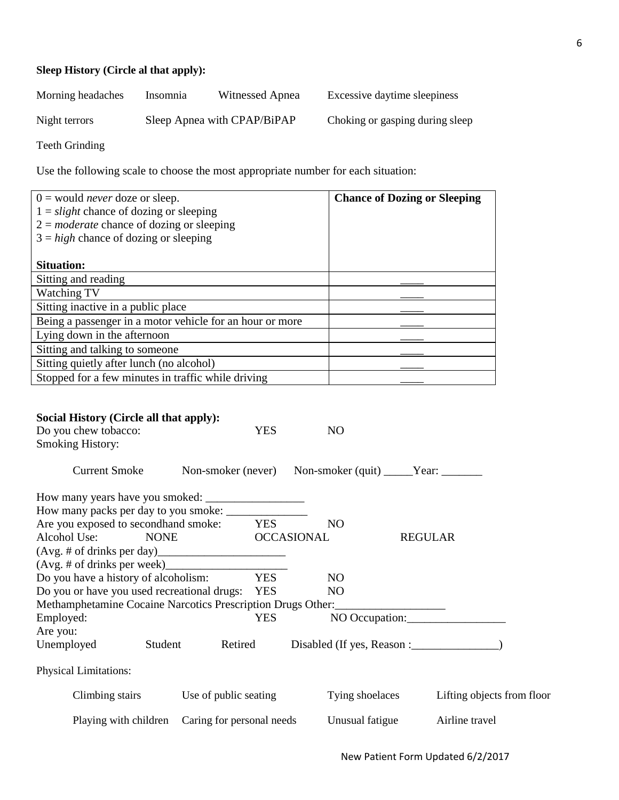### **Sleep History (Circle al that apply):**

| Morning headaches | Insomnia | Witnessed Apnea             | Excessive daytime sleepiness    |
|-------------------|----------|-----------------------------|---------------------------------|
| Night terrors     |          | Sleep Apnea with CPAP/BiPAP | Choking or gasping during sleep |

Teeth Grinding

Use the following scale to choose the most appropriate number for each situation:

| $0 =$ would <i>never</i> doze or sleep.                                                           |             |            |                   | <b>Chance of Dozing or Sleeping</b>                     |  |
|---------------------------------------------------------------------------------------------------|-------------|------------|-------------------|---------------------------------------------------------|--|
| $1 = slight$ chance of dozing or sleeping                                                         |             |            |                   |                                                         |  |
| $2 = moderate$ chance of dozing or sleeping                                                       |             |            |                   |                                                         |  |
| $3 = high$ chance of dozing or sleeping                                                           |             |            |                   |                                                         |  |
|                                                                                                   |             |            |                   |                                                         |  |
| <b>Situation:</b>                                                                                 |             |            |                   |                                                         |  |
| Sitting and reading                                                                               |             |            |                   |                                                         |  |
| Watching TV                                                                                       |             |            |                   |                                                         |  |
| Sitting inactive in a public place                                                                |             |            |                   |                                                         |  |
| Being a passenger in a motor vehicle for an hour or more                                          |             |            |                   |                                                         |  |
| Lying down in the afternoon                                                                       |             |            |                   |                                                         |  |
| Sitting and talking to someone                                                                    |             |            |                   |                                                         |  |
| Sitting quietly after lunch (no alcohol)                                                          |             |            |                   |                                                         |  |
| Stopped for a few minutes in traffic while driving                                                |             |            |                   |                                                         |  |
| <b>Smoking History:</b><br><b>Current Smoke</b><br>How many packs per day to you smoke: _________ |             |            |                   | Non-smoker (never) Non-smoker (quit) _____Year: _______ |  |
| Are you exposed to secondhand smoke:                                                              |             | <b>YES</b> | NO.               |                                                         |  |
| Alcohol Use:                                                                                      | <b>NONE</b> |            | <b>OCCASIONAL</b> | <b>REGULAR</b>                                          |  |
| Do you have a history of alcoholism:                                                              |             | <b>YES</b> | N <sub>O</sub>    |                                                         |  |
| Do you or have you used recreational drugs: YES                                                   |             |            | NO <sub>1</sub>   |                                                         |  |
| Methamphetamine Cocaine Narcotics Prescription Drugs Other:_____________________                  |             |            |                   |                                                         |  |
| Employed:                                                                                         |             | <b>YES</b> |                   | NO Occupation:                                          |  |
| Are you:                                                                                          |             |            |                   |                                                         |  |
| Unemployed                                                                                        | Student     | Retired    |                   |                                                         |  |
| <b>Physical Limitations:</b>                                                                      |             |            |                   |                                                         |  |
| Climbing stairs                                                                                   |             |            |                   |                                                         |  |

Playing with children Caring for personal needs Unusual fatigue Airline travel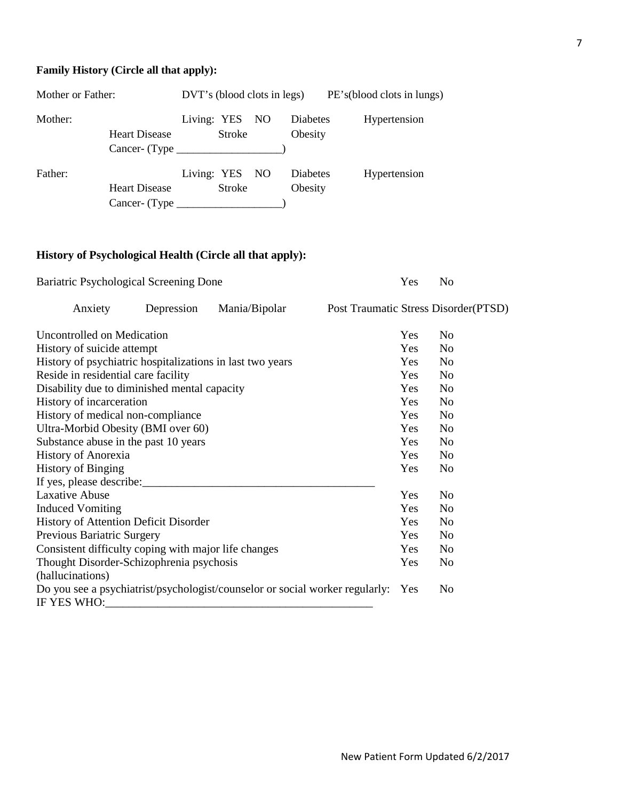# **Family History (Circle all that apply):**

| Mother or Father: |                                                                | DVT's (blood clots in legs) |                                                                              |  |                     | PE's (blood clots in lungs) |  |  |
|-------------------|----------------------------------------------------------------|-----------------------------|------------------------------------------------------------------------------|--|---------------------|-----------------------------|--|--|
| Mother:           | <b>Heart Disease</b><br>$Cancer$ - $(Type$                     | Living: YES NO              | <b>Stroke</b>                                                                |  | Diabetes<br>Obesity | Hypertension                |  |  |
| Father:           | <b>Heart Disease</b><br>Cancer- (Type $\overline{\phantom{a}}$ | Living: YES NO              | <b>Stroke</b><br><u> 1980 - Andrea State Barnett, amerikansk politiker (</u> |  | Diabetes<br>Obesity | Hypertension                |  |  |

# **History of Psychological Health (Circle all that apply):**

| Bariatric Psychological Screening Done                    |            |                                                                              |  |            | No                                    |
|-----------------------------------------------------------|------------|------------------------------------------------------------------------------|--|------------|---------------------------------------|
| Anxiety                                                   | Depression | Mania/Bipolar                                                                |  |            | Post Traumatic Stress Disorder (PTSD) |
| Uncontrolled on Medication                                |            |                                                                              |  | Yes        | No                                    |
| History of suicide attempt                                |            |                                                                              |  | Yes        | No                                    |
| History of psychiatric hospitalizations in last two years |            |                                                                              |  | Yes        | N <sub>0</sub>                        |
| Reside in residential care facility                       |            |                                                                              |  | Yes        | N <sub>o</sub>                        |
| Disability due to diminished mental capacity              |            |                                                                              |  | <b>Yes</b> | No                                    |
| History of incarceration                                  |            |                                                                              |  | Yes        | N <sub>o</sub>                        |
| History of medical non-compliance                         |            |                                                                              |  | Yes        | No                                    |
| Ultra-Morbid Obesity (BMI over 60)                        |            |                                                                              |  | Yes        | N <sub>o</sub>                        |
| Substance abuse in the past 10 years                      |            |                                                                              |  | Yes        | N <sub>o</sub>                        |
| History of Anorexia                                       |            |                                                                              |  | Yes        | N <sub>0</sub>                        |
| <b>History of Binging</b>                                 |            |                                                                              |  | Yes        | No                                    |
|                                                           |            |                                                                              |  |            |                                       |
| Laxative Abuse                                            |            |                                                                              |  | Yes        | N <sub>0</sub>                        |
| <b>Induced Vomiting</b>                                   |            |                                                                              |  | Yes        | No                                    |
| History of Attention Deficit Disorder                     |            |                                                                              |  | Yes        | N <sub>o</sub>                        |
| Previous Bariatric Surgery                                |            |                                                                              |  | Yes        | No                                    |
| Consistent difficulty coping with major life changes      |            |                                                                              |  | Yes        | N <sub>0</sub>                        |
| Thought Disorder-Schizophrenia psychosis                  |            |                                                                              |  | Yes        | No                                    |
| (hallucinations)                                          |            |                                                                              |  |            |                                       |
| IF YES WHO:                                               |            | Do you see a psychiatrist/psychologist/counselor or social worker regularly: |  | Yes        | No                                    |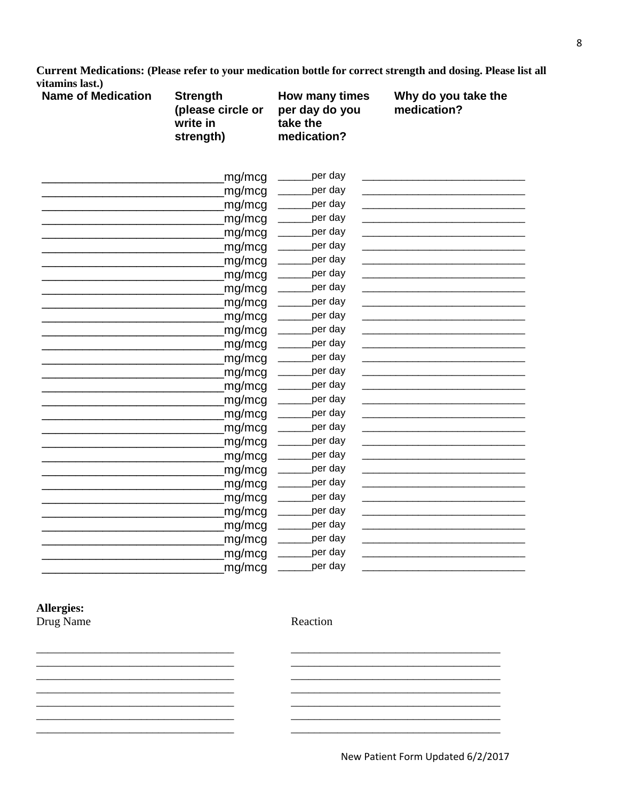Current Medications: (Please refer to your medication bottle for correct strength and dosing. Please list all vitamins last.)

| <b>Name of Medication</b> | <b>Strength</b><br>(please circle or<br>write in<br>strength) | How many times<br>per day do you<br>take the<br>medication? | Why do you take the<br>medication?                                                                                     |
|---------------------------|---------------------------------------------------------------|-------------------------------------------------------------|------------------------------------------------------------------------------------------------------------------------|
|                           | mg/mcg                                                        | _per day                                                    |                                                                                                                        |
|                           | mg/mcg                                                        | _per day<br>$\frac{1}{2}$                                   | <u> 1989 - Johann Barbara, martxa al III-lea (h. 1989).</u>                                                            |
|                           | mg/mcg                                                        | _per day<br>$\frac{1}{2}$                                   |                                                                                                                        |
|                           | mg/mcg                                                        | <sub>_</sub> per day<br>$\frac{1}{2}$                       |                                                                                                                        |
|                           | mg/mcg                                                        | per day                                                     |                                                                                                                        |
|                           | mg/mcg                                                        | per day                                                     |                                                                                                                        |
|                           | mg/mcg                                                        | per day<br>$\mathcal{L}$                                    |                                                                                                                        |
|                           | mg/mcg                                                        | per day                                                     |                                                                                                                        |
|                           | mg/mcg                                                        | _per day<br>$\overline{\phantom{a}}$                        |                                                                                                                        |
|                           | mg/mcg                                                        | <sub>-</sub> per day<br>$\frac{1}{2}$                       | the control of the control of the control of the control of the control of                                             |
|                           | mg/mcg                                                        | per day<br>$\overline{\phantom{a}}$                         |                                                                                                                        |
|                           | mg/mcg                                                        | per day<br>$\frac{1}{1}$                                    |                                                                                                                        |
|                           | mg/mcg                                                        | _per day<br>$\frac{1}{2}$                                   |                                                                                                                        |
|                           | mg/mcg                                                        | _per day                                                    |                                                                                                                        |
|                           | mg/mcg                                                        | _per day                                                    |                                                                                                                        |
|                           | mg/mcg                                                        | _per day                                                    |                                                                                                                        |
|                           | mg/mcg                                                        | _per day<br>$\overline{\phantom{a}}$                        |                                                                                                                        |
|                           | mg/mcg                                                        | <sub>-</sub> per day<br>$\frac{1}{2}$                       |                                                                                                                        |
|                           | mg/mcg                                                        | _per day<br>$\overline{\phantom{a}}$                        |                                                                                                                        |
|                           | mg/mcg                                                        | _per day                                                    |                                                                                                                        |
|                           | mg/mcg                                                        | per day<br>$\frac{1}{2}$                                    |                                                                                                                        |
|                           | mg/mcg                                                        | per day                                                     |                                                                                                                        |
|                           | mg/mcg                                                        | per day                                                     |                                                                                                                        |
|                           | mg/mcg                                                        | <sub>-</sub> per day<br>$\overline{\phantom{a}}$            | <u> 1989 - Johann John Stone, markin sanat masjid a shekara ta 1989 - An tsara ta 1989 - An tsara ta 1989 - An tsa</u> |
|                           | mg/mcg                                                        | per day<br>$\frac{1}{1}$                                    |                                                                                                                        |
|                           | mg/mcg                                                        | per day<br>$\frac{1}{1}$                                    |                                                                                                                        |
|                           | mg/mcg                                                        | <sub>-</sub> per day                                        |                                                                                                                        |
|                           | mg/mcg                                                        | per day                                                     |                                                                                                                        |
|                           | mg/mcg                                                        | _per day                                                    |                                                                                                                        |

#### Allergies: Drug Name

<u> 1989 - Johann John Stone, market fan de Amerikaanske kommunister oant it ferskearre fan de Amerikaanske kommun</u>

<u> 1989 - Johann John Stone, markin film yn y brenin y brenin y brenin y brenin y brenin y brenin y brenin y br</u> Reaction

 $\sim$ 

 $\overline{\phantom{a}}$ 

 $\overline{\phantom{a}}$ 

 $\overline{\phantom{a}}$ 

<u> 1980 - Johann John Stone, mars eta biztanleria (h. 1980).</u>

<u> 1989 - Johann John Stein, marwolaeth a bhannaich an t-Amhair an t-Amhair an t-Amhair an t-Amhair an t-Amhair </u>

<u> 1989 - Johann John Stone, mars eta biztanleria (h. 1989).</u>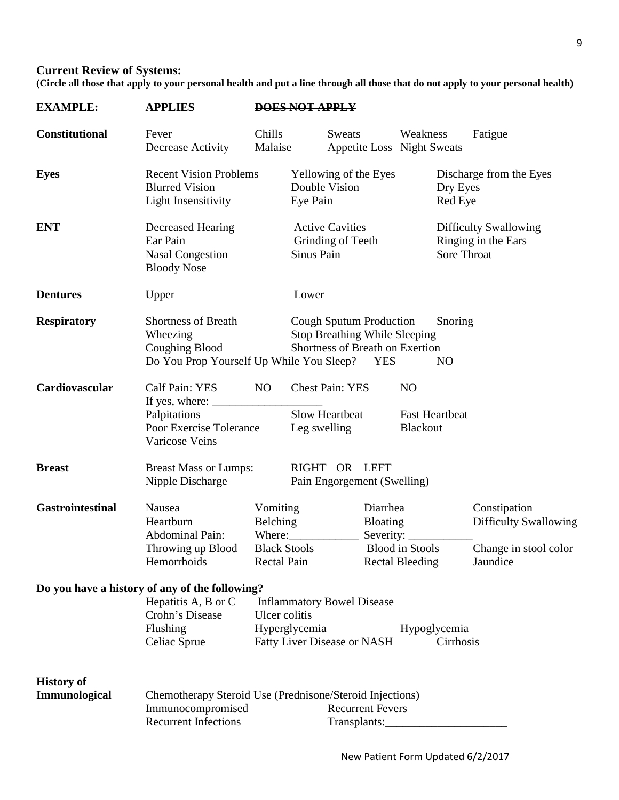# **Current Review of Systems:**

**(Circle all those that apply to your personal health and put a line through all those that do not apply to your personal health)** 

| <b>EXAMPLE:</b>                    | <b>APPLIES</b>                                                                                                       | <b>DOES NOT APPLY</b>                        |                                                                                                           |                                                                                              |                                                     |                           |                                                                                   |
|------------------------------------|----------------------------------------------------------------------------------------------------------------------|----------------------------------------------|-----------------------------------------------------------------------------------------------------------|----------------------------------------------------------------------------------------------|-----------------------------------------------------|---------------------------|-----------------------------------------------------------------------------------|
| <b>Constitutional</b>              | Fever<br>Decrease Activity                                                                                           | Chills<br>Malaise                            | Sweats                                                                                                    |                                                                                              | Weakness<br><b>Appetite Loss Night Sweats</b>       |                           | Fatigue                                                                           |
| <b>Eyes</b>                        | <b>Recent Vision Problems</b><br><b>Blurred Vision</b><br><b>Light Insensitivity</b>                                 |                                              | Yellowing of the Eyes<br>Double Vision<br>Eye Pain                                                        |                                                                                              |                                                     | Dry Eyes<br>Red Eye       | Discharge from the Eyes                                                           |
| <b>ENT</b>                         | Decreased Hearing<br>Ear Pain<br><b>Nasal Congestion</b><br><b>Bloody Nose</b>                                       |                                              | <b>Active Cavities</b><br>Grinding of Teeth<br>Sinus Pain                                                 |                                                                                              |                                                     | Sore Throat               | <b>Difficulty Swallowing</b><br>Ringing in the Ears                               |
| <b>Dentures</b>                    | Upper                                                                                                                |                                              | Lower                                                                                                     |                                                                                              |                                                     |                           |                                                                                   |
| <b>Respiratory</b>                 | <b>Shortness of Breath</b><br>Wheezing<br>Coughing Blood<br>Do You Prop Yourself Up While You Sleep?                 |                                              | Cough Sputum Production<br><b>Stop Breathing While Sleeping</b><br>Shortness of Breath on Exertion        | <b>YES</b>                                                                                   |                                                     | Snoring<br>N <sub>O</sub> |                                                                                   |
| Cardiovascular                     | Calf Pain: YES<br>If yes, where:<br>Palpitations<br>Poor Exercise Tolerance<br>Varicose Veins                        | NO.                                          | <b>Chest Pain: YES</b><br><b>Slow Heartbeat</b><br>Leg swelling                                           |                                                                                              | N <sub>O</sub><br><b>Fast Heartbeat</b><br>Blackout |                           |                                                                                   |
| <b>Breast</b>                      | <b>Breast Mass or Lumps:</b><br>Nipple Discharge                                                                     | RIGHT OR LEFT<br>Pain Engorgement (Swelling) |                                                                                                           |                                                                                              |                                                     |                           |                                                                                   |
| <b>Gastrointestinal</b>            | Nausea<br>Heartburn<br><b>Abdominal Pain:</b><br>Throwing up Blood<br>Hemorrhoids                                    | Vomiting<br>Belching<br>Where:               | <b>Black Stools</b><br><b>Rectal Pain</b>                                                                 | Diarrhea<br><b>Bloating</b><br>Severity:<br><b>Blood</b> in Stools<br><b>Rectal Bleeding</b> |                                                     |                           | Constipation<br><b>Difficulty Swallowing</b><br>Change in stool color<br>Jaundice |
|                                    | Do you have a history of any of the following?<br>Hepatitis A, B or C<br>Crohn's Disease<br>Flushing<br>Celiac Sprue |                                              | <b>Inflammatory Bowel Disease</b><br>Ulcer colitis<br>Hyperglycemia<br><b>Fatty Liver Disease or NASH</b> |                                                                                              | Hypoglycemia                                        | Cirrhosis                 |                                                                                   |
| <b>History of</b><br>Immunological | Chemotherapy Steroid Use (Prednisone/Steroid Injections)<br>Immunocompromised<br><b>Recurrent Infections</b>         |                                              |                                                                                                           | <b>Recurrent Fevers</b>                                                                      |                                                     |                           |                                                                                   |